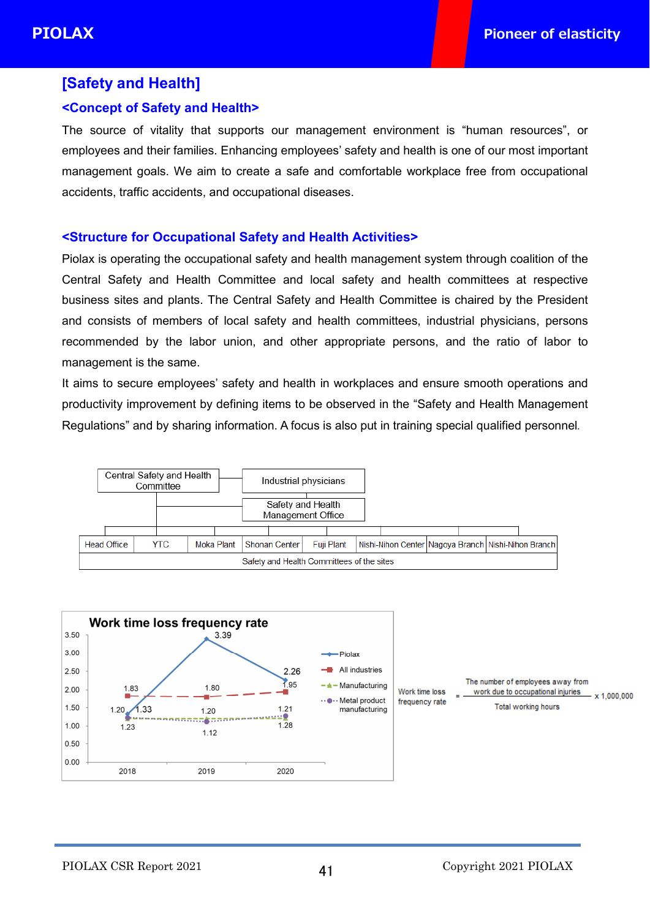# **[Safety and Health]**

# **<Concept of Safety and Health>**

The source of vitality that supports our management environment is "human resources", or employees and their families. Enhancing employees' safety and health is one of our most important management goals. We aim to create a safe and comfortable workplace free from occupational accidents, traffic accidents, and occupational diseases.

### **<Structure for Occupational Safety and Health Activities>**

Piolax is operating the occupational safety and health management system through coalition of the Central Safety and Health Committee and local safety and health committees at respective business sites and plants. The Central Safety and Health Committee is chaired by the President and consists of members of local safety and health committees, industrial physicians, persons recommended by the labor union, and other appropriate persons, and the ratio of labor to management is the same.

It aims to secure employees' safety and health in workplaces and ensure smooth operations and productivity improvement by defining items to be observed in the "Safety and Health Management Regulations" and by sharing information. A focus is also put in training special qualified personnel.